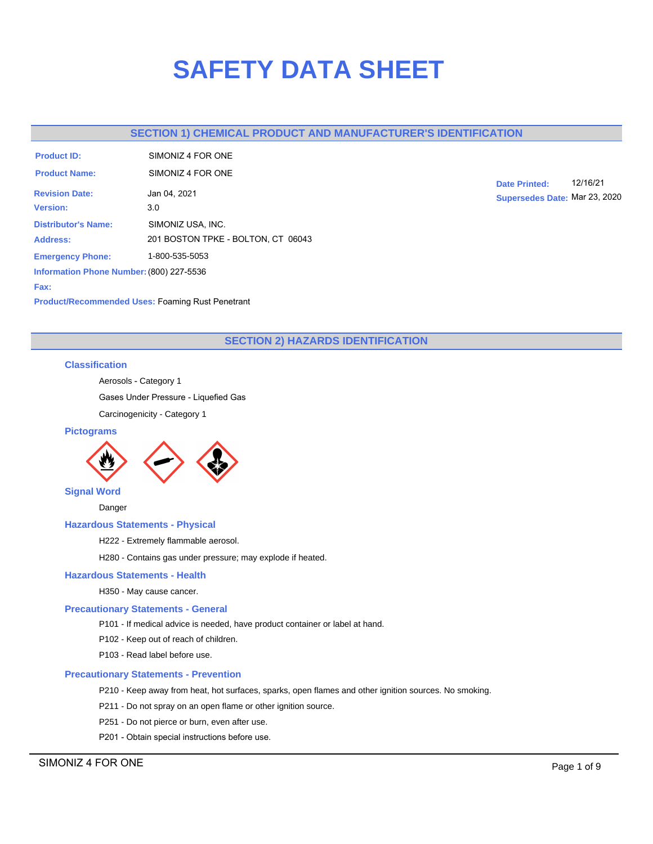# **SAFETY DATA SHEET**

# **SECTION 1) CHEMICAL PRODUCT AND MANUFACTURER'S IDENTIFICATION**

| <b>Product ID:</b>                       | SIMONIZ 4 FOR ONE                  |
|------------------------------------------|------------------------------------|
| <b>Product Name:</b>                     | SIMONIZ 4 FOR ONE                  |
| <b>Revision Date:</b>                    | Jan 04, 2021                       |
| <b>Version:</b>                          | 3.0                                |
| <b>Distributor's Name:</b>               | SIMONIZ USA, INC.                  |
| <b>Address:</b>                          | 201 BOSTON TPKE - BOLTON, CT 06043 |
| <b>Emergency Phone:</b>                  | 1-800-535-5053                     |
| Information Phone Number: (800) 227-5536 |                                    |

**Date Printed:** 12/16/21 **Supersedes Date:** Mar 23, 2020

**Product/Recommended Uses:** Foaming Rust Penetrant

# **SECTION 2) HAZARDS IDENTIFICATION**

## **Classification**

**Fax:**

Aerosols - Category 1

Gases Under Pressure - Liquefied Gas

Carcinogenicity - Category 1

## **Pictograms**



Danger

## **Hazardous Statements - Physical**

H222 - Extremely flammable aerosol.

H280 - Contains gas under pressure; may explode if heated.

## **Hazardous Statements - Health**

H350 - May cause cancer.

## **Precautionary Statements - General**

P101 - If medical advice is needed, have product container or label at hand.

P102 - Keep out of reach of children.

P103 - Read label before use.

## **Precautionary Statements - Prevention**

P210 - Keep away from heat, hot surfaces, sparks, open flames and other ignition sources. No smoking.

- P211 Do not spray on an open flame or other ignition source.
- P251 Do not pierce or burn, even after use.
- P201 Obtain special instructions before use.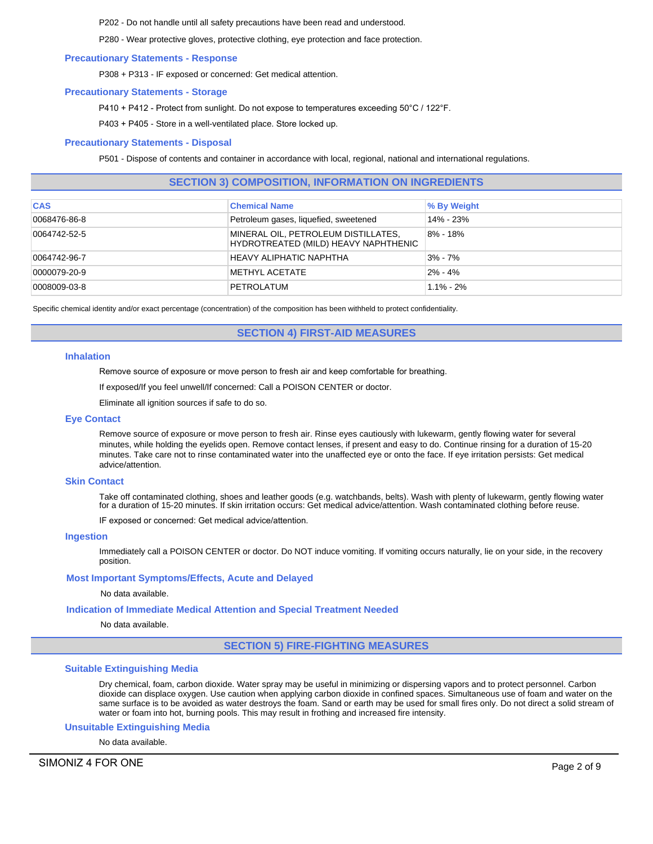P202 - Do not handle until all safety precautions have been read and understood.

P280 - Wear protective gloves, protective clothing, eye protection and face protection.

#### **Precautionary Statements - Response**

P308 + P313 - IF exposed or concerned: Get medical attention.

## **Precautionary Statements - Storage**

P410 + P412 - Protect from sunlight. Do not expose to temperatures exceeding 50°C / 122°F.

P403 + P405 - Store in a well-ventilated place. Store locked up.

## **Precautionary Statements - Disposal**

P501 - Dispose of contents and container in accordance with local, regional, national and international regulations.

# **SECTION 3) COMPOSITION, INFORMATION ON INGREDIENTS**

| <b>CAS</b>   | <b>Chemical Name</b>                                                        | <b>% By Weight</b> |
|--------------|-----------------------------------------------------------------------------|--------------------|
| 0068476-86-8 | Petroleum gases, liquefied, sweetened                                       | 14% - 23%          |
| 0064742-52-5 | MINERAL OIL, PETROLEUM DISTILLATES,<br>HYDROTREATED (MILD) HEAVY NAPHTHENIC | 8% - 18%           |
| 0064742-96-7 | HEAVY ALIPHATIC NAPHTHA                                                     | $3\% - 7\%$        |
| 0000079-20-9 | METHYL ACETATE                                                              | $2\% - 4\%$        |
| 0008009-03-8 | PETROLATUM                                                                  | $1.1\% - 2\%$      |

Specific chemical identity and/or exact percentage (concentration) of the composition has been withheld to protect confidentiality.

**SECTION 4) FIRST-AID MEASURES**

#### **Inhalation**

Remove source of exposure or move person to fresh air and keep comfortable for breathing.

If exposed/If you feel unwell/If concerned: Call a POISON CENTER or doctor.

Eliminate all ignition sources if safe to do so.

#### **Eye Contact**

Remove source of exposure or move person to fresh air. Rinse eyes cautiously with lukewarm, gently flowing water for several minutes, while holding the eyelids open. Remove contact lenses, if present and easy to do. Continue rinsing for a duration of 15-20 minutes. Take care not to rinse contaminated water into the unaffected eye or onto the face. If eye irritation persists: Get medical advice/attention.

#### **Skin Contact**

Take off contaminated clothing, shoes and leather goods (e.g. watchbands, belts). Wash with plenty of lukewarm, gently flowing water for a duration of 15-20 minutes. If skin irritation occurs: Get medical advice/attention. Wash contaminated clothing before reuse.

IF exposed or concerned: Get medical advice/attention.

#### **Ingestion**

Immediately call a POISON CENTER or doctor. Do NOT induce vomiting. If vomiting occurs naturally, lie on your side, in the recovery position.

## **Most Important Symptoms/Effects, Acute and Delayed**

No data available.

## **Indication of Immediate Medical Attention and Special Treatment Needed**

No data available.

**SECTION 5) FIRE-FIGHTING MEASURES**

#### **Suitable Extinguishing Media**

Dry chemical, foam, carbon dioxide. Water spray may be useful in minimizing or dispersing vapors and to protect personnel. Carbon dioxide can displace oxygen. Use caution when applying carbon dioxide in confined spaces. Simultaneous use of foam and water on the same surface is to be avoided as water destroys the foam. Sand or earth may be used for small fires only. Do not direct a solid stream of water or foam into hot, burning pools. This may result in frothing and increased fire intensity.

#### **Unsuitable Extinguishing Media**

No data available.

SIMONIZ 4 FOR ONE Page 2 of 9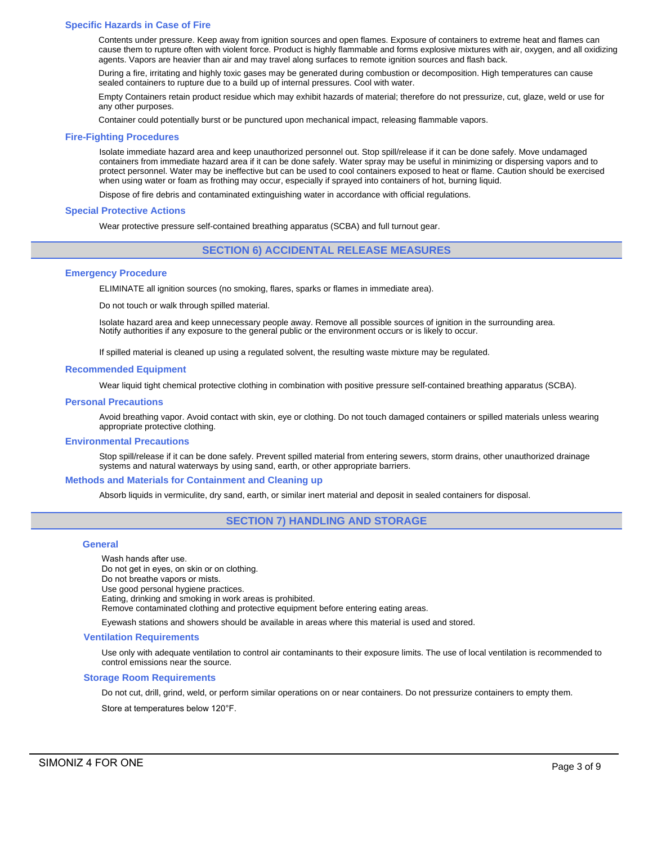#### **Specific Hazards in Case of Fire**

Contents under pressure. Keep away from ignition sources and open flames. Exposure of containers to extreme heat and flames can cause them to rupture often with violent force. Product is highly flammable and forms explosive mixtures with air, oxygen, and all oxidizing agents. Vapors are heavier than air and may travel along surfaces to remote ignition sources and flash back.

During a fire, irritating and highly toxic gases may be generated during combustion or decomposition. High temperatures can cause sealed containers to rupture due to a build up of internal pressures. Cool with water.

Empty Containers retain product residue which may exhibit hazards of material; therefore do not pressurize, cut, glaze, weld or use for any other purposes.

Container could potentially burst or be punctured upon mechanical impact, releasing flammable vapors.

#### **Fire-Fighting Procedures**

Isolate immediate hazard area and keep unauthorized personnel out. Stop spill/release if it can be done safely. Move undamaged containers from immediate hazard area if it can be done safely. Water spray may be useful in minimizing or dispersing vapors and to protect personnel. Water may be ineffective but can be used to cool containers exposed to heat or flame. Caution should be exercised when using water or foam as frothing may occur, especially if sprayed into containers of hot, burning liquid.

Dispose of fire debris and contaminated extinguishing water in accordance with official regulations.

#### **Special Protective Actions**

Wear protective pressure self-contained breathing apparatus (SCBA) and full turnout gear.

#### **SECTION 6) ACCIDENTAL RELEASE MEASURES**

#### **Emergency Procedure**

ELIMINATE all ignition sources (no smoking, flares, sparks or flames in immediate area).

Do not touch or walk through spilled material.

Isolate hazard area and keep unnecessary people away. Remove all possible sources of ignition in the surrounding area. Notify authorities if any exposure to the general public or the environment occurs or is likely to occur.

If spilled material is cleaned up using a regulated solvent, the resulting waste mixture may be regulated.

#### **Recommended Equipment**

Wear liquid tight chemical protective clothing in combination with positive pressure self-contained breathing apparatus (SCBA).

#### **Personal Precautions**

Avoid breathing vapor. Avoid contact with skin, eye or clothing. Do not touch damaged containers or spilled materials unless wearing appropriate protective clothing.

#### **Environmental Precautions**

Stop spill/release if it can be done safely. Prevent spilled material from entering sewers, storm drains, other unauthorized drainage systems and natural waterways by using sand, earth, or other appropriate barriers.

#### **Methods and Materials for Containment and Cleaning up**

Absorb liquids in vermiculite, dry sand, earth, or similar inert material and deposit in sealed containers for disposal.

## **SECTION 7) HANDLING AND STORAGE**

#### **General**

Wash hands after use. Do not get in eyes, on skin or on clothing. Do not breathe vapors or mists. Use good personal hygiene practices. Eating, drinking and smoking in work areas is prohibited. Remove contaminated clothing and protective equipment before entering eating areas.

Eyewash stations and showers should be available in areas where this material is used and stored.

#### **Ventilation Requirements**

Use only with adequate ventilation to control air contaminants to their exposure limits. The use of local ventilation is recommended to control emissions near the source.

#### **Storage Room Requirements**

Do not cut, drill, grind, weld, or perform similar operations on or near containers. Do not pressurize containers to empty them.

Store at temperatures below 120°F.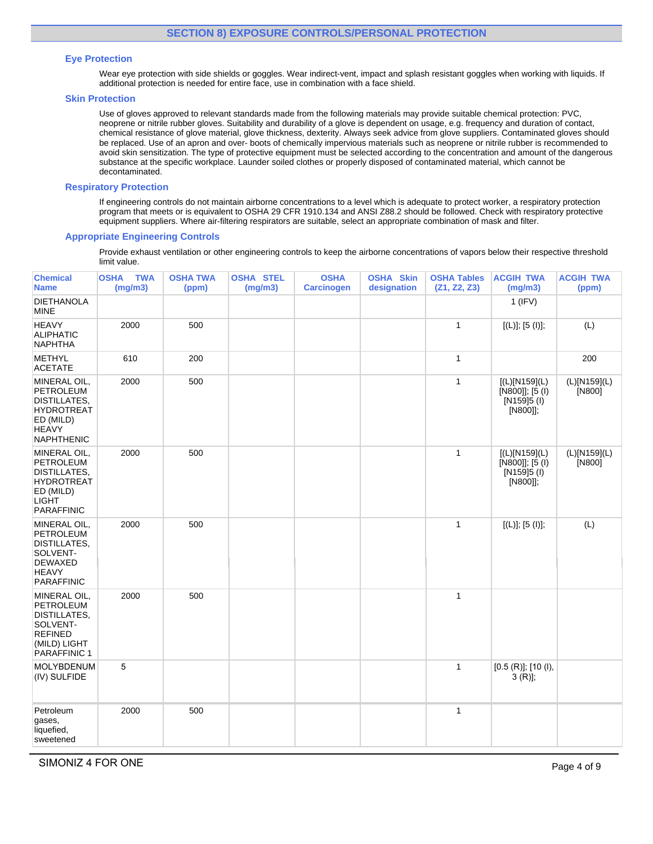## **Eye Protection**

Wear eye protection with side shields or goggles. Wear indirect-vent, impact and splash resistant goggles when working with liquids. If additional protection is needed for entire face, use in combination with a face shield.

#### **Skin Protection**

Use of gloves approved to relevant standards made from the following materials may provide suitable chemical protection: PVC, neoprene or nitrile rubber gloves. Suitability and durability of a glove is dependent on usage, e.g. frequency and duration of contact, chemical resistance of glove material, glove thickness, dexterity. Always seek advice from glove suppliers. Contaminated gloves should be replaced. Use of an apron and over- boots of chemically impervious materials such as neoprene or nitrile rubber is recommended to avoid skin sensitization. The type of protective equipment must be selected according to the concentration and amount of the dangerous substance at the specific workplace. Launder soiled clothes or properly disposed of contaminated material, which cannot be decontaminated.

## **Respiratory Protection**

If engineering controls do not maintain airborne concentrations to a level which is adequate to protect worker, a respiratory protection program that meets or is equivalent to OSHA 29 CFR 1910.134 and ANSI Z88.2 should be followed. Check with respiratory protective equipment suppliers. Where air-filtering respirators are suitable, select an appropriate combination of mask and filter.

## **Appropriate Engineering Controls**

Provide exhaust ventilation or other engineering controls to keep the airborne concentrations of vapors below their respective threshold limit value.

| <b>Chemical</b><br><b>Name</b>                                                                                          | <b>TWA</b><br><b>OSHA</b><br>(mg/m3) | <b>OSHA TWA</b><br>(ppm) | <b>OSHA STEL</b><br>(mg/m3) | <b>OSHA</b><br><b>Carcinogen</b> | <b>OSHA Skin</b><br>designation | <b>OSHA Tables</b><br>(Z1, Z2, Z3) | <b>ACGIH TWA</b><br>(mg/m3)                                   | <b>ACGIH TWA</b><br>(ppm) |
|-------------------------------------------------------------------------------------------------------------------------|--------------------------------------|--------------------------|-----------------------------|----------------------------------|---------------------------------|------------------------------------|---------------------------------------------------------------|---------------------------|
| <b>DIETHANOLA</b><br>MINE                                                                                               |                                      |                          |                             |                                  |                                 |                                    | $1$ (IFV)                                                     |                           |
| <b>HEAVY</b><br><b>ALIPHATIC</b><br><b>NAPHTHA</b>                                                                      | 2000                                 | 500                      |                             |                                  |                                 | $\mathbf{1}$                       | [(L)]; [5 (I)];                                               | (L)                       |
| <b>METHYL</b><br><b>ACETATE</b>                                                                                         | 610                                  | 200                      |                             |                                  |                                 | 1                                  |                                                               | 200                       |
| MINERAL OIL,<br>PETROLEUM<br>DISTILLATES,<br><b>HYDROTREAT</b><br>ED (MILD)<br><b>HEAVY</b><br><b>NAPHTHENIC</b>        | 2000                                 | 500                      |                             |                                  |                                 | 1                                  | [(L)[N159](L)<br>[N800]]; [5 (l)<br>[N159]5 (I)<br>[N800]];   | (L)[N159](L)<br>[N800]    |
| MINERAL OIL,<br>PETROLEUM<br><b>DISTILLATES,</b><br><b>HYDROTREAT</b><br>ED (MILD)<br><b>LIGHT</b><br><b>PARAFFINIC</b> | 2000                                 | 500                      |                             |                                  |                                 | 1                                  | [(L)[N159](L)<br>[N800]]; [5 (l)<br>$[N159]5$ (l)<br>[N800]]; | (L)[N159](L)<br>[N800]    |
| MINERAL OIL,<br>PETROLEUM<br>DISTILLATES,<br>SOLVENT-<br><b>DEWAXED</b><br><b>HEAVY</b><br><b>PARAFFINIC</b>            | 2000                                 | 500                      |                             |                                  |                                 | $\mathbf{1}$                       | [(L)]; [5 (I)];                                               | (L)                       |
| MINERAL OIL,<br>PETROLEUM<br><b>DISTILLATES,</b><br>SOLVENT-<br><b>REFINED</b><br>(MILD) LIGHT<br>PARAFFINIC 1          | 2000                                 | 500                      |                             |                                  |                                 | $\mathbf{1}$                       |                                                               |                           |
| <b>MOLYBDENUM</b><br>(IV) SULFIDE                                                                                       | 5                                    |                          |                             |                                  |                                 | $\mathbf{1}$                       | [0.5 (R)]; [10 (l),<br>$3(R)$ ;                               |                           |
| Petroleum<br>gases,<br>liquefied.<br>sweetened                                                                          | 2000                                 | 500                      |                             |                                  |                                 | $\mathbf{1}$                       |                                                               |                           |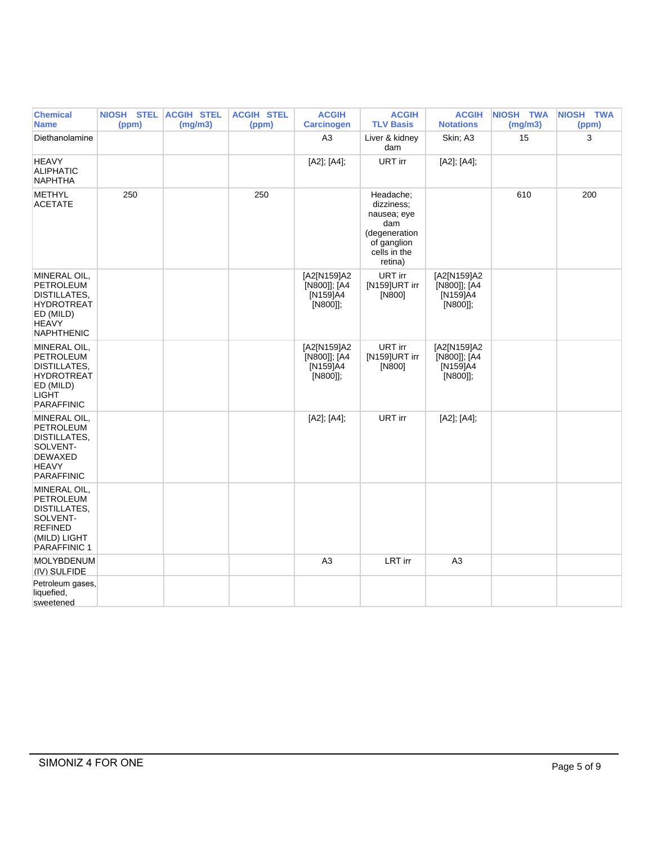| <b>Chemical</b><br><b>Name</b>                                                                                                 | NIOSH STEL ACGIH STEL<br>(ppm) | (mg/m3) | <b>ACGIH STEL</b><br>(ppm) | <b>ACGIH</b><br><b>Carcinogen</b>                   | <b>ACGIH</b><br><b>TLV Basis</b>                                                                         | <b>ACGIH</b><br><b>Notations</b>                    | NIOSH TWA<br>(mg/m3) | NIOSH TWA<br>(ppm) |
|--------------------------------------------------------------------------------------------------------------------------------|--------------------------------|---------|----------------------------|-----------------------------------------------------|----------------------------------------------------------------------------------------------------------|-----------------------------------------------------|----------------------|--------------------|
| Diethanolamine                                                                                                                 |                                |         |                            | A <sub>3</sub>                                      | Liver & kidney<br>dam                                                                                    | Skin; A3                                            | 15                   | 3                  |
| <b>HEAVY</b><br><b>ALIPHATIC</b><br><b>NAPHTHA</b>                                                                             |                                |         |                            | [A2]; [A4];                                         | URT irr                                                                                                  | [A2]; [A4];                                         |                      |                    |
| <b>METHYL</b><br><b>ACETATE</b>                                                                                                | 250                            |         | 250                        |                                                     | Headache;<br>dizziness:<br>nausea; eye<br>dam<br>(degeneration<br>of ganglion<br>cells in the<br>retina) |                                                     | 610                  | 200                |
| MINERAL OIL,<br><b>PETROLEUM</b><br>DISTILLATES,<br><b>HYDROTREAT</b><br>ED (MILD)<br><b>HEAVY</b><br><b>NAPHTHENIC</b>        |                                |         |                            | [A2[N159]A2<br>[N800]]; [A4<br>[N159]A4<br>[N800]]; | URT irr<br>[N159]URT irr<br>[N800]                                                                       | [A2[N159]A2<br>[N800]]; [A4<br>[N159]A4<br>[N800]]; |                      |                    |
| MINERAL OIL,<br><b>PETROLEUM</b><br><b>DISTILLATES.</b><br><b>HYDROTREAT</b><br>ED (MILD)<br><b>LIGHT</b><br><b>PARAFFINIC</b> |                                |         |                            | [A2[N159]A2<br>[N800]]; [A4<br>[N159]A4<br>[N800]]; | URT irr<br>[N159]URT irr<br>[N800]                                                                       | [A2[N159]A2<br>[N800]]; [A4<br>[N159]A4<br>[N800]]; |                      |                    |
| MINERAL OIL,<br>PETROLEUM<br>DISTILLATES,<br>SOLVENT-<br><b>DEWAXED</b><br><b>HEAVY</b><br><b>PARAFFINIC</b>                   |                                |         |                            | [A2]; [A4];                                         | URT irr                                                                                                  | [A2]; [A4];                                         |                      |                    |
| MINERAL OIL,<br><b>PETROLEUM</b><br>DISTILLATES,<br>SOLVENT-<br><b>REFINED</b><br>(MILD) LIGHT<br><b>PARAFFINIC 1</b>          |                                |         |                            |                                                     |                                                                                                          |                                                     |                      |                    |
| <b>MOLYBDENUM</b><br>(IV) SULFIDE                                                                                              |                                |         |                            | A3                                                  | <b>LRT</b> irr                                                                                           | A <sub>3</sub>                                      |                      |                    |
| Petroleum gases,<br>liquefied,<br>sweetened                                                                                    |                                |         |                            |                                                     |                                                                                                          |                                                     |                      |                    |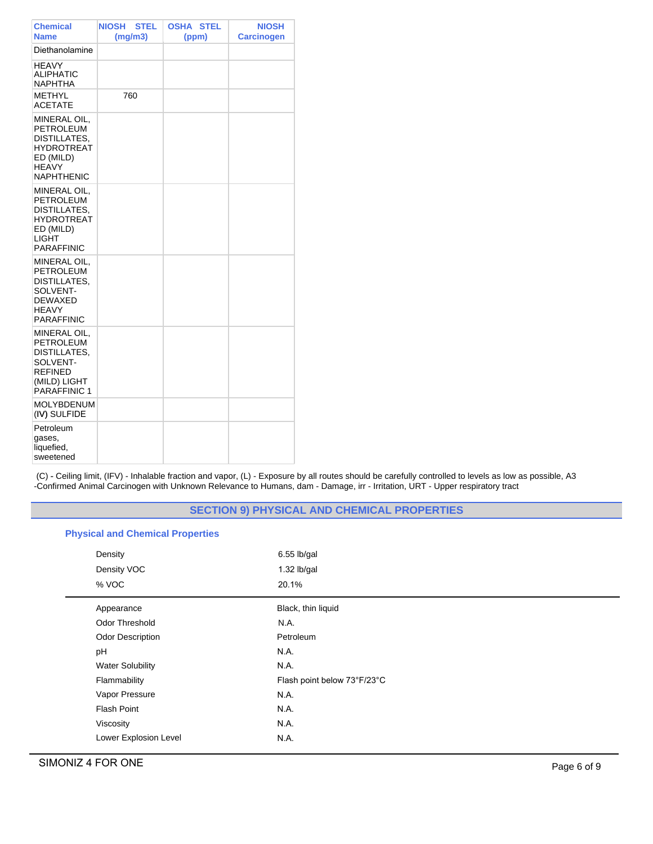| <b>Chemical</b><br><b>Name</b>                                                                                   | <b>NIOSH</b><br><b>STEL</b><br>(mg/m3) | OSHA<br><b>STEL</b><br>(ppm) | <b>NIOSH</b><br><b>Carcinogen</b> |
|------------------------------------------------------------------------------------------------------------------|----------------------------------------|------------------------------|-----------------------------------|
| Diethanolamine                                                                                                   |                                        |                              |                                   |
| <b>HEAVY</b><br><b>ALIPHATIC</b><br><b>NAPHTHA</b>                                                               |                                        |                              |                                   |
| <b>METHYL</b><br><b>ACETATE</b>                                                                                  | 760                                    |                              |                                   |
| MINERAL OIL,<br><b>PETROLEUM</b><br>DISTILLATES,<br>HYDROTREAT<br>ED (MILD)<br><b>HEAVY</b><br><b>NAPHTHENIC</b> |                                        |                              |                                   |
| MINERAL OIL,<br>PETROLEUM<br>DISTILLATES,<br><b>HYDROTREAT</b><br>ED (MILD)<br>LIGHT<br><b>PARAFFINIC</b>        |                                        |                              |                                   |
| MINERAL OIL,<br>PETROLEUM<br>DISTILLATES,<br>SOLVENT-<br><b>DEWAXED</b><br><b>HEAVY</b><br><b>PARAFFINIC</b>     |                                        |                              |                                   |
| MINERAL OIL,<br>PETROLEUM<br>DISTILLATES,<br>SOLVENT-<br><b>REFINED</b><br>(MILD) LIGHT<br>PARAFFINIC 1          |                                        |                              |                                   |
| <b>MOLYBDENUM</b><br>(IV) SULFIDE                                                                                |                                        |                              |                                   |
| Petroleum<br>gases,<br>liquefied,<br>sweetened                                                                   |                                        |                              |                                   |

(C) - Ceiling limit, (IFV) - Inhalable fraction and vapor, (L) - Exposure by all routes should be carefully controlled to levels as low as possible, A3 -Confirmed Animal Carcinogen with Unknown Relevance to Humans, dam - Damage, irr - Irritation, URT - Upper respiratory tract

# **SECTION 9) PHYSICAL AND CHEMICAL PROPERTIES**

# **Physical and Chemical Properties**

| Density<br>Density VOC<br>% VOC | $6.55$ lb/gal<br>1.32 lb/gal<br>20.1% |
|---------------------------------|---------------------------------------|
| Appearance                      | Black, thin liquid                    |
| Odor Threshold                  | N.A.                                  |
| <b>Odor Description</b>         | Petroleum                             |
| pH                              | N.A.                                  |
| <b>Water Solubility</b>         | N.A.                                  |
| Flammability                    | Flash point below 73°F/23°C           |
| Vapor Pressure                  | N.A.                                  |
| <b>Flash Point</b>              | N.A.                                  |
| Viscosity                       | N.A.                                  |
| Lower Explosion Level           | N.A.                                  |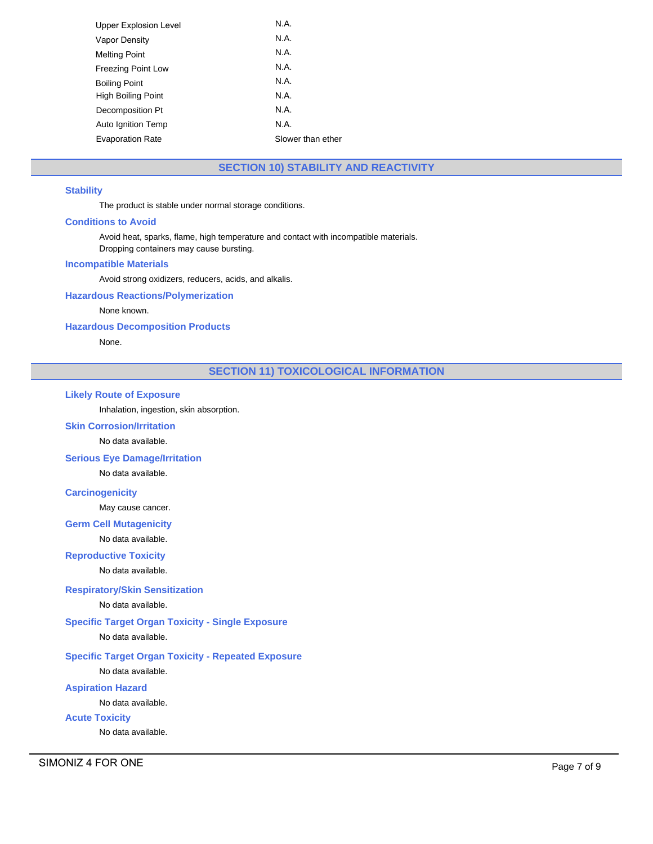| Upper Explosion Level     | N.A.              |
|---------------------------|-------------------|
| <b>Vapor Density</b>      | N.A.              |
| <b>Melting Point</b>      | N.A.              |
| <b>Freezing Point Low</b> | N.A.              |
| <b>Boiling Point</b>      | N.A.              |
| High Boiling Point        | N.A.              |
| Decomposition Pt          | N.A.              |
| Auto Ignition Temp        | N.A.              |
| <b>Evaporation Rate</b>   | Slower than ether |
|                           |                   |

# **SECTION 10) STABILITY AND REACTIVITY**

# **Stability**

The product is stable under normal storage conditions.

## **Conditions to Avoid**

Avoid heat, sparks, flame, high temperature and contact with incompatible materials. Dropping containers may cause bursting.

#### **Incompatible Materials**

Avoid strong oxidizers, reducers, acids, and alkalis.

**Hazardous Reactions/Polymerization**

None known.

**Hazardous Decomposition Products**

None.

# **SECTION 11) TOXICOLOGICAL INFORMATION**

## **Likely Route of Exposure**

Inhalation, ingestion, skin absorption.

# **Skin Corrosion/Irritation**

No data available.

**Serious Eye Damage/Irritation**

No data available.

# **Carcinogenicity**

May cause cancer.

# **Germ Cell Mutagenicity**

No data available.

# **Reproductive Toxicity**

No data available.

# **Respiratory/Skin Sensitization**

## No data available.

**Specific Target Organ Toxicity - Single Exposure**

# No data available.

# **Specific Target Organ Toxicity - Repeated Exposure**

No data available.

# **Aspiration Hazard**

No data available.

# **Acute Toxicity**

No data available.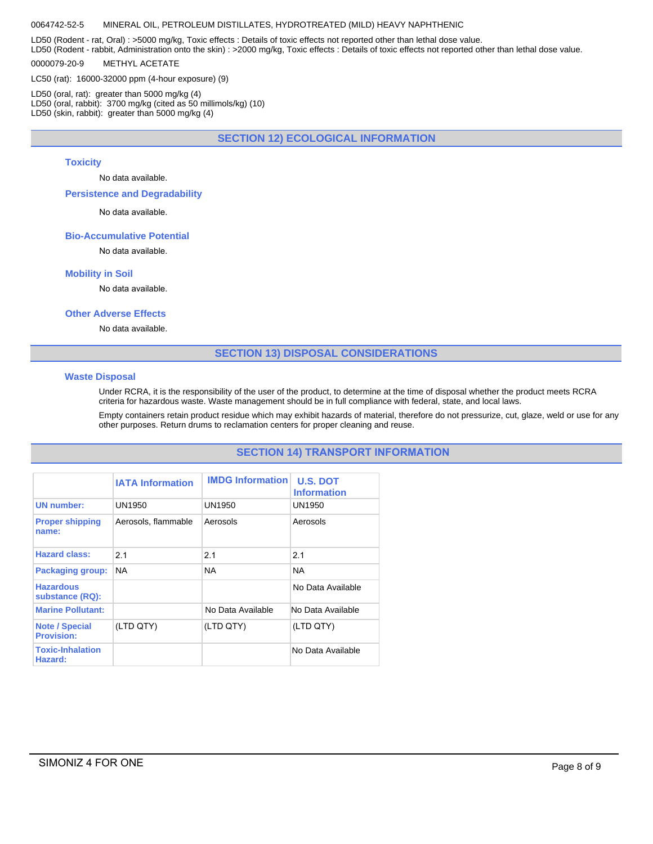#### 0064742-52-5 MINERAL OIL, PETROLEUM DISTILLATES, HYDROTREATED (MILD) HEAVY NAPHTHENIC

LD50 (Rodent - rat, Oral) : >5000 mg/kg, Toxic effects : Details of toxic effects not reported other than lethal dose value.

LD50 (Rodent - rabbit, Administration onto the skin) : >2000 mg/kg, Toxic effects : Details of toxic effects not reported other than lethal dose value. 0000079-20-9 METHYL ACETATE

LC50 (rat): 16000-32000 ppm (4-hour exposure) (9)

LD50 (oral, rat): greater than 5000 mg/kg (4) LD50 (oral, rabbit): 3700 mg/kg (cited as 50 millimols/kg) (10) LD50 (skin, rabbit): greater than 5000 mg/kg (4)

**SECTION 12) ECOLOGICAL INFORMATION**

#### **Toxicity**

No data available.

**Persistence and Degradability**

No data available.

#### **Bio-Accumulative Potential**

No data available.

#### **Mobility in Soil**

No data available.

#### **Other Adverse Effects**

No data available.

## **SECTION 13) DISPOSAL CONSIDERATIONS**

#### **Waste Disposal**

Under RCRA, it is the responsibility of the user of the product, to determine at the time of disposal whether the product meets RCRA criteria for hazardous waste. Waste management should be in full compliance with federal, state, and local laws.

Empty containers retain product residue which may exhibit hazards of material, therefore do not pressurize, cut, glaze, weld or use for any other purposes. Return drums to reclamation centers for proper cleaning and reuse.

# **SECTION 14) TRANSPORT INFORMATION**

|                                            | <b>IATA Information</b> | <b>IMDG Information</b> | <b>U.S. DOT</b><br><b>Information</b> |
|--------------------------------------------|-------------------------|-------------------------|---------------------------------------|
| <b>UN</b> number:                          | UN1950                  | UN1950                  | UN1950                                |
| <b>Proper shipping</b><br>name:            | Aerosols, flammable     | Aerosols                | Aerosols                              |
| <b>Hazard class:</b>                       | 21                      | 2.1                     | 2.1                                   |
| <b>Packaging group:</b>                    | <b>NA</b>               | <b>NA</b>               | <b>NA</b>                             |
| <b>Hazardous</b><br>substance (RQ):        |                         |                         | No Data Available                     |
| <b>Marine Pollutant:</b>                   |                         | No Data Available       | No Data Available                     |
| <b>Note / Special</b><br><b>Provision:</b> | (LTD QTY)               | (LTD QTY)               | (LTD QTY)                             |
| <b>Toxic-Inhalation</b><br>Hazard:         |                         |                         | No Data Available                     |